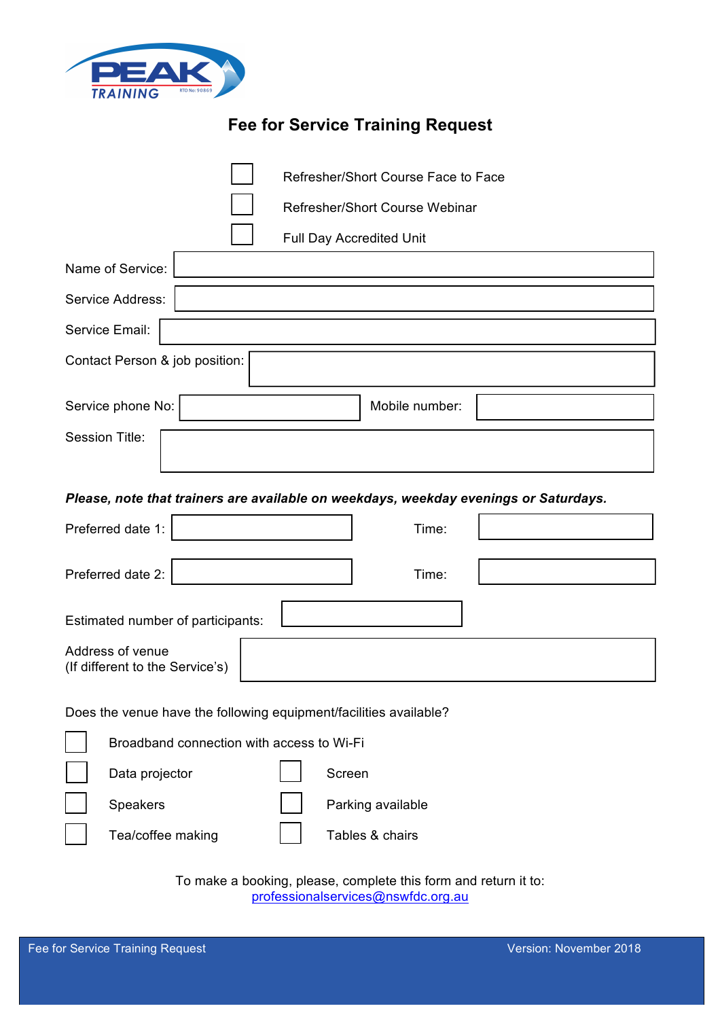

# **Fee for Service Training Request**

|                                                                                      | Refresher/Short Course Face to Face       |  |  |                   |                 |  |
|--------------------------------------------------------------------------------------|-------------------------------------------|--|--|-------------------|-----------------|--|
|                                                                                      | Refresher/Short Course Webinar            |  |  |                   |                 |  |
|                                                                                      | <b>Full Day Accredited Unit</b>           |  |  |                   |                 |  |
| Name of Service:                                                                     |                                           |  |  |                   |                 |  |
| Service Address:                                                                     |                                           |  |  |                   |                 |  |
| Service Email:                                                                       |                                           |  |  |                   |                 |  |
| Contact Person & job position:                                                       |                                           |  |  |                   |                 |  |
|                                                                                      | Service phone No:                         |  |  |                   | Mobile number:  |  |
| <b>Session Title:</b>                                                                |                                           |  |  |                   |                 |  |
|                                                                                      |                                           |  |  |                   |                 |  |
| Please, note that trainers are available on weekdays, weekday evenings or Saturdays. |                                           |  |  |                   |                 |  |
| Preferred date 1:<br>Time:                                                           |                                           |  |  |                   |                 |  |
| Preferred date 2:<br>Time:                                                           |                                           |  |  |                   |                 |  |
| Estimated number of participants:                                                    |                                           |  |  |                   |                 |  |
| Address of venue<br>(If different to the Service's)                                  |                                           |  |  |                   |                 |  |
|                                                                                      |                                           |  |  |                   |                 |  |
| Does the venue have the following equipment/facilities available?                    |                                           |  |  |                   |                 |  |
|                                                                                      | Broadband connection with access to Wi-Fi |  |  |                   |                 |  |
|                                                                                      | Data projector                            |  |  | Screen            |                 |  |
|                                                                                      | Speakers                                  |  |  | Parking available |                 |  |
|                                                                                      | Tea/coffee making                         |  |  |                   | Tables & chairs |  |
| To make a booking, please, complete this form and return it to:                      |                                           |  |  |                   |                 |  |

professionalservices@nswfdc.org.au